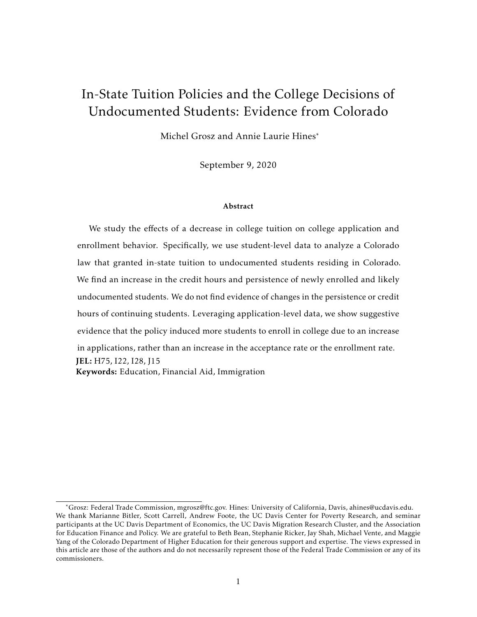# In-State Tuition Policies and the College Decisions of Undocumented Students: Evidence from Colorado

Michel Grosz and Annie Laurie Hines\*

September 9, 2020

#### Abstract

We study the effects of a decrease in college tuition on college application and enrollment behavior. Specifically, we use student-level data to analyze a Colorado law that granted in-state tuition to undocumented students residing in Colorado. We find an increase in the credit hours and persistence of newly enrolled and likely undocumented students. We do not find evidence of changes in the persistence or credit hours of continuing students. Leveraging application-level data, we show suggestive evidence that the policy induced more students to enroll in college due to an increase in applications, rather than an increase in the acceptance rate or the enrollment rate. JEL: H75, I22, I28, J15 Keywords: Education, Financial Aid, Immigration

<sup>\*</sup>Grosz: Federal Trade Commission, mgrosz@ftc.gov. Hines: University of California, Davis, ahines@ucdavis.edu. We thank Marianne Bitler, Scott Carrell, Andrew Foote, the UC Davis Center for Poverty Research, and seminar participants at the UC Davis Department of Economics, the UC Davis Migration Research Cluster, and the Association for Education Finance and Policy. We are grateful to Beth Bean, Stephanie Ricker, Jay Shah, Michael Vente, and Maggie Yang of the Colorado Department of Higher Education for their generous support and expertise. The views expressed in this article are those of the authors and do not necessarily represent those of the Federal Trade Commission or any of its commissioners.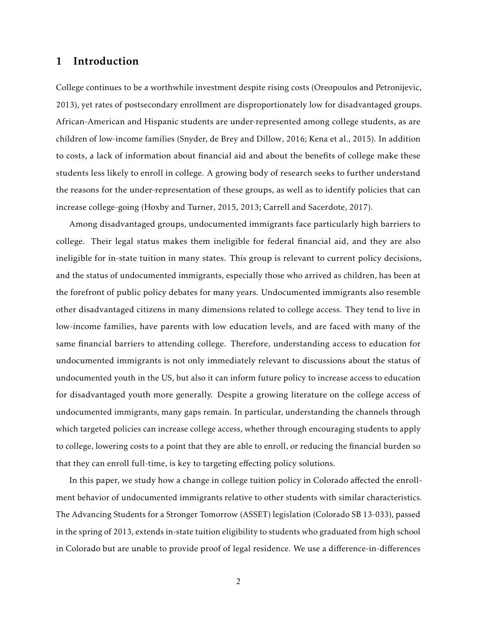## 1 Introduction

College continues to be a worthwhile investment despite rising costs [\(Oreopoulos and Petronijevic,](#page-23-0) [2013\)](#page-23-0), yet rates of postsecondary enrollment are disproportionately low for disadvantaged groups. African-American and Hispanic students are under-represented among college students, as are children of low-income families [\(Snyder, de Brey and Dillow,](#page-23-1) [2016;](#page-23-1) [Kena et al.,](#page-23-2) [2015\)](#page-23-2). In addition to costs, a lack of information about financial aid and about the benefits of college make these students less likely to enroll in college. A growing body of research seeks to further understand the reasons for the under-representation of these groups, as well as to identify policies that can increase college-going [\(Hoxby and Turner,](#page-23-3) [2015,](#page-23-3) [2013;](#page-23-4) [Carrell and Sacerdote,](#page-22-0) [2017\)](#page-22-0).

Among disadvantaged groups, undocumented immigrants face particularly high barriers to college. Their legal status makes them ineligible for federal financial aid, and they are also ineligible for in-state tuition in many states. This group is relevant to current policy decisions, and the status of undocumented immigrants, especially those who arrived as children, has been at the forefront of public policy debates for many years. Undocumented immigrants also resemble other disadvantaged citizens in many dimensions related to college access. They tend to live in low-income families, have parents with low education levels, and are faced with many of the same financial barriers to attending college. Therefore, understanding access to education for undocumented immigrants is not only immediately relevant to discussions about the status of undocumented youth in the US, but also it can inform future policy to increase access to education for disadvantaged youth more generally. Despite a growing literature on the college access of undocumented immigrants, many gaps remain. In particular, understanding the channels through which targeted policies can increase college access, whether through encouraging students to apply to college, lowering costs to a point that they are able to enroll, or reducing the financial burden so that they can enroll full-time, is key to targeting effecting policy solutions.

In this paper, we study how a change in college tuition policy in Colorado affected the enrollment behavior of undocumented immigrants relative to other students with similar characteristics. The Advancing Students for a Stronger Tomorrow (ASSET) legislation (Colorado SB 13-033), passed in the spring of 2013, extends in-state tuition eligibility to students who graduated from high school in Colorado but are unable to provide proof of legal residence. We use a difference-in-differences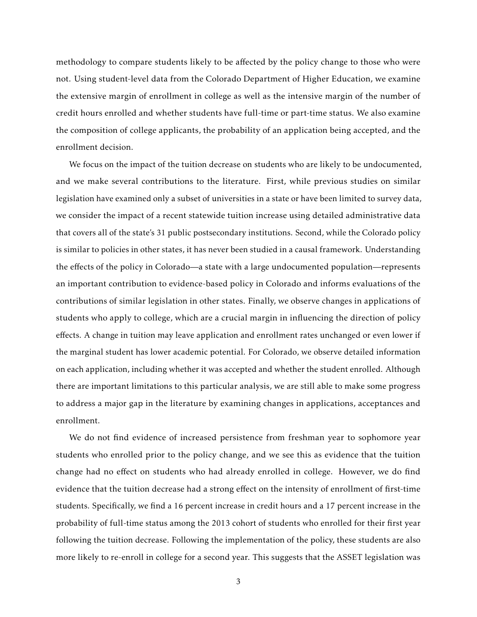methodology to compare students likely to be affected by the policy change to those who were not. Using student-level data from the Colorado Department of Higher Education, we examine the extensive margin of enrollment in college as well as the intensive margin of the number of credit hours enrolled and whether students have full-time or part-time status. We also examine the composition of college applicants, the probability of an application being accepted, and the enrollment decision.

We focus on the impact of the tuition decrease on students who are likely to be undocumented, and we make several contributions to the literature. First, while previous studies on similar legislation have examined only a subset of universities in a state or have been limited to survey data, we consider the impact of a recent statewide tuition increase using detailed administrative data that covers all of the state's 31 public postsecondary institutions. Second, while the Colorado policy is similar to policies in other states, it has never been studied in a causal framework. Understanding the effects of the policy in Colorado—a state with a large undocumented population—represents an important contribution to evidence-based policy in Colorado and informs evaluations of the contributions of similar legislation in other states. Finally, we observe changes in applications of students who apply to college, which are a crucial margin in influencing the direction of policy effects. A change in tuition may leave application and enrollment rates unchanged or even lower if the marginal student has lower academic potential. For Colorado, we observe detailed information on each application, including whether it was accepted and whether the student enrolled. Although there are important limitations to this particular analysis, we are still able to make some progress to address a major gap in the literature by examining changes in applications, acceptances and enrollment.

We do not find evidence of increased persistence from freshman year to sophomore year students who enrolled prior to the policy change, and we see this as evidence that the tuition change had no effect on students who had already enrolled in college. However, we do find evidence that the tuition decrease had a strong effect on the intensity of enrollment of first-time students. Specifically, we find a 16 percent increase in credit hours and a 17 percent increase in the probability of full-time status among the 2013 cohort of students who enrolled for their first year following the tuition decrease. Following the implementation of the policy, these students are also more likely to re-enroll in college for a second year. This suggests that the ASSET legislation was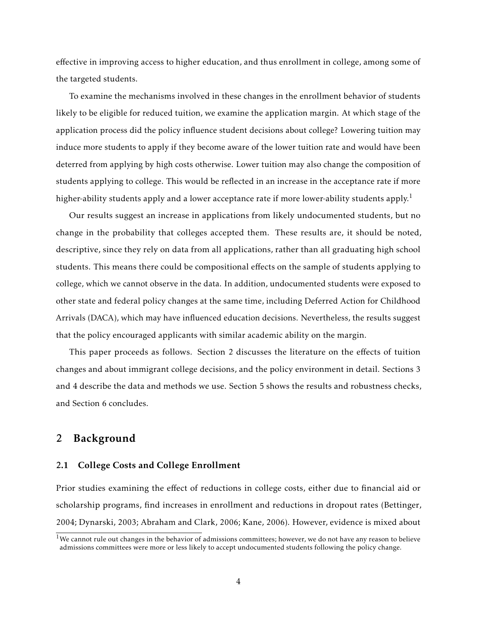effective in improving access to higher education, and thus enrollment in college, among some of the targeted students.

To examine the mechanisms involved in these changes in the enrollment behavior of students likely to be eligible for reduced tuition, we examine the application margin. At which stage of the application process did the policy influence student decisions about college? Lowering tuition may induce more students to apply if they become aware of the lower tuition rate and would have been deterred from applying by high costs otherwise. Lower tuition may also change the composition of students applying to college. This would be reflected in an increase in the acceptance rate if more higher-ability students apply and a lower acceptance rate if more lower-ability students apply.<sup>1</sup>

Our results suggest an increase in applications from likely undocumented students, but no change in the probability that colleges accepted them. These results are, it should be noted, descriptive, since they rely on data from all applications, rather than all graduating high school students. This means there could be compositional effects on the sample of students applying to college, which we cannot observe in the data. In addition, undocumented students were exposed to other state and federal policy changes at the same time, including Deferred Action for Childhood Arrivals (DACA), which may have influenced education decisions. Nevertheless, the results suggest that the policy encouraged applicants with similar academic ability on the margin.

This paper proceeds as follows. Section [2](#page-3-0) discusses the literature on the effects of tuition changes and about immigrant college decisions, and the policy environment in detail. Sections [3](#page-7-0) and [4](#page-9-0) describe the data and methods we use. Section [5](#page-15-0) shows the results and robustness checks, and Section [6](#page-19-0) concludes.

## <span id="page-3-0"></span>2 Background

#### 2.1 College Costs and College Enrollment

Prior studies examining the effect of reductions in college costs, either due to financial aid or scholarship programs, find increases in enrollment and reductions in dropout rates [\(Bettinger,](#page-22-1) [2004;](#page-22-1) [Dynarski,](#page-22-2) [2003;](#page-22-2) [Abraham and Clark,](#page-22-3) [2006;](#page-22-3) [Kane,](#page-23-5) [2006\)](#page-23-5). However, evidence is mixed about

 $1$ We cannot rule out changes in the behavior of admissions committees; however, we do not have any reason to believe admissions committees were more or less likely to accept undocumented students following the policy change.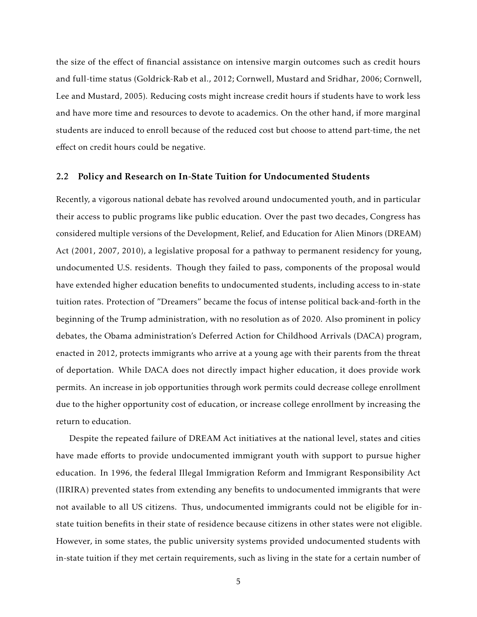the size of the effect of financial assistance on intensive margin outcomes such as credit hours and full-time status [\(Goldrick-Rab et al.,](#page-23-6) [2012;](#page-23-6) [Cornwell, Mustard and Sridhar,](#page-22-4) [2006;](#page-22-4) [Cornwell,](#page-22-5) [Lee and Mustard,](#page-22-5) [2005\)](#page-22-5). Reducing costs might increase credit hours if students have to work less and have more time and resources to devote to academics. On the other hand, if more marginal students are induced to enroll because of the reduced cost but choose to attend part-time, the net effect on credit hours could be negative.

## 2.2 Policy and Research on In-State Tuition for Undocumented Students

Recently, a vigorous national debate has revolved around undocumented youth, and in particular their access to public programs like public education. Over the past two decades, Congress has considered multiple versions of the Development, Relief, and Education for Alien Minors (DREAM) Act (2001, 2007, 2010), a legislative proposal for a pathway to permanent residency for young, undocumented U.S. residents. Though they failed to pass, components of the proposal would have extended higher education benefits to undocumented students, including access to in-state tuition rates. Protection of "Dreamers" became the focus of intense political back-and-forth in the beginning of the Trump administration, with no resolution as of 2020. Also prominent in policy debates, the Obama administration's Deferred Action for Childhood Arrivals (DACA) program, enacted in 2012, protects immigrants who arrive at a young age with their parents from the threat of deportation. While DACA does not directly impact higher education, it does provide work permits. An increase in job opportunities through work permits could decrease college enrollment due to the higher opportunity cost of education, or increase college enrollment by increasing the return to education.

Despite the repeated failure of DREAM Act initiatives at the national level, states and cities have made efforts to provide undocumented immigrant youth with support to pursue higher education. In 1996, the federal Illegal Immigration Reform and Immigrant Responsibility Act (IIRIRA) prevented states from extending any benefits to undocumented immigrants that were not available to all US citizens. Thus, undocumented immigrants could not be eligible for instate tuition benefits in their state of residence because citizens in other states were not eligible. However, in some states, the public university systems provided undocumented students with in-state tuition if they met certain requirements, such as living in the state for a certain number of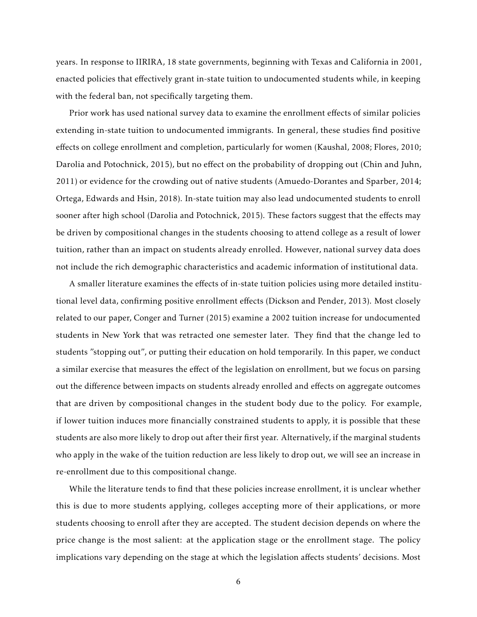years. In response to IIRIRA, 18 state governments, beginning with Texas and California in 2001, enacted policies that effectively grant in-state tuition to undocumented students while, in keeping with the federal ban, not specifically targeting them.

Prior work has used national survey data to examine the enrollment effects of similar policies extending in-state tuition to undocumented immigrants. In general, these studies find positive effects on college enrollment and completion, particularly for women [\(Kaushal,](#page-23-7) [2008;](#page-23-7) [Flores,](#page-22-6) [2010;](#page-22-6) [Darolia and Potochnick,](#page-22-7) [2015\)](#page-22-7), but no effect on the probability of dropping out [\(Chin and Juhn,](#page-22-8) [2011\)](#page-22-8) or evidence for the crowding out of native students [\(Amuedo-Dorantes and Sparber,](#page-22-9) [2014;](#page-22-9) [Ortega, Edwards and Hsin,](#page-23-8) [2018\)](#page-23-8). In-state tuition may also lead undocumented students to enroll sooner after high school [\(Darolia and Potochnick,](#page-22-7) [2015\)](#page-22-7). These factors suggest that the effects may be driven by compositional changes in the students choosing to attend college as a result of lower tuition, rather than an impact on students already enrolled. However, national survey data does not include the rich demographic characteristics and academic information of institutional data.

A smaller literature examines the effects of in-state tuition policies using more detailed institutional level data, confirming positive enrollment effects [\(Dickson and Pender,](#page-22-10) [2013\)](#page-22-10). Most closely related to our paper, [Conger and Turner](#page-22-11) [\(2015\)](#page-22-11) examine a 2002 tuition increase for undocumented students in New York that was retracted one semester later. They find that the change led to students "stopping out", or putting their education on hold temporarily. In this paper, we conduct a similar exercise that measures the effect of the legislation on enrollment, but we focus on parsing out the difference between impacts on students already enrolled and effects on aggregate outcomes that are driven by compositional changes in the student body due to the policy. For example, if lower tuition induces more financially constrained students to apply, it is possible that these students are also more likely to drop out after their first year. Alternatively, if the marginal students who apply in the wake of the tuition reduction are less likely to drop out, we will see an increase in re-enrollment due to this compositional change.

While the literature tends to find that these policies increase enrollment, it is unclear whether this is due to more students applying, colleges accepting more of their applications, or more students choosing to enroll after they are accepted. The student decision depends on where the price change is the most salient: at the application stage or the enrollment stage. The policy implications vary depending on the stage at which the legislation affects students' decisions. Most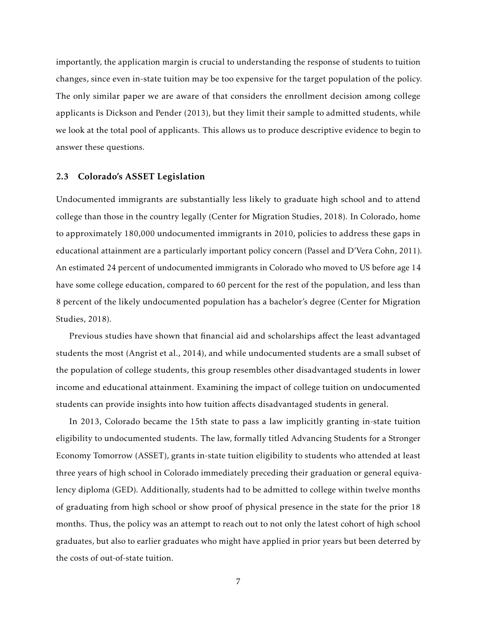importantly, the application margin is crucial to understanding the response of students to tuition changes, since even in-state tuition may be too expensive for the target population of the policy. The only similar paper we are aware of that considers the enrollment decision among college applicants is [Dickson and Pender](#page-22-10) [\(2013\)](#page-22-10), but they limit their sample to admitted students, while we look at the total pool of applicants. This allows us to produce descriptive evidence to begin to answer these questions.

## 2.3 Colorado's ASSET Legislation

Undocumented immigrants are substantially less likely to graduate high school and to attend college than those in the country legally [\(Center for Migration Studies,](#page-22-12) [2018\)](#page-22-12). In Colorado, home to approximately 180,000 undocumented immigrants in 2010, policies to address these gaps in educational attainment are a particularly important policy concern [\(Passel and D'Vera Cohn,](#page-23-9) [2011\)](#page-23-9). An estimated 24 percent of undocumented immigrants in Colorado who moved to US before age 14 have some college education, compared to 60 percent for the rest of the population, and less than 8 percent of the likely undocumented population has a bachelor's degree [\(Center for Migration](#page-22-12) [Studies,](#page-22-12) [2018\)](#page-22-12).

Previous studies have shown that financial aid and scholarships affect the least advantaged students the most [\(Angrist et al.,](#page-22-13) [2014\)](#page-22-13), and while undocumented students are a small subset of the population of college students, this group resembles other disadvantaged students in lower income and educational attainment. Examining the impact of college tuition on undocumented students can provide insights into how tuition affects disadvantaged students in general.

In 2013, Colorado became the 15th state to pass a law implicitly granting in-state tuition eligibility to undocumented students. The law, formally titled Advancing Students for a Stronger Economy Tomorrow (ASSET), grants in-state tuition eligibility to students who attended at least three years of high school in Colorado immediately preceding their graduation or general equivalency diploma (GED). Additionally, students had to be admitted to college within twelve months of graduating from high school or show proof of physical presence in the state for the prior 18 months. Thus, the policy was an attempt to reach out to not only the latest cohort of high school graduates, but also to earlier graduates who might have applied in prior years but been deterred by the costs of out-of-state tuition.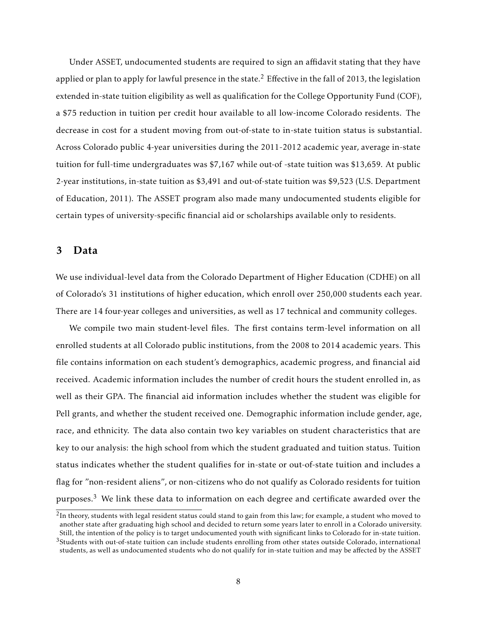Under ASSET, undocumented students are required to sign an affidavit stating that they have applied or plan to apply for lawful presence in the state.<sup>2</sup> Effective in the fall of 2013, the legislation extended in-state tuition eligibility as well as qualification for the College Opportunity Fund (COF), a \$75 reduction in tuition per credit hour available to all low-income Colorado residents. The decrease in cost for a student moving from out-of-state to in-state tuition status is substantial. Across Colorado public 4-year universities during the 2011-2012 academic year, average in-state tuition for full-time undergraduates was \$7,167 while out-of -state tuition was \$13,659. At public 2-year institutions, in-state tuition as \$3,491 and out-of-state tuition was \$9,523 [\(U.S. Department](#page-23-10) [of Education,](#page-23-10) [2011\)](#page-23-10). The ASSET program also made many undocumented students eligible for certain types of university-specific financial aid or scholarships available only to residents.

## <span id="page-7-0"></span>3 Data

We use individual-level data from the Colorado Department of Higher Education (CDHE) on all of Colorado's 31 institutions of higher education, which enroll over 250,000 students each year. There are 14 four-year colleges and universities, as well as 17 technical and community colleges.

We compile two main student-level files. The first contains term-level information on all enrolled students at all Colorado public institutions, from the 2008 to 2014 academic years. This file contains information on each student's demographics, academic progress, and financial aid received. Academic information includes the number of credit hours the student enrolled in, as well as their GPA. The financial aid information includes whether the student was eligible for Pell grants, and whether the student received one. Demographic information include gender, age, race, and ethnicity. The data also contain two key variables on student characteristics that are key to our analysis: the high school from which the student graduated and tuition status. Tuition status indicates whether the student qualifies for in-state or out-of-state tuition and includes a flag for "non-resident aliens", or non-citizens who do not qualify as Colorado residents for tuition purposes.<sup>3</sup> We link these data to information on each degree and certificate awarded over the

 $^2$ In theory, students with legal resident status could stand to gain from this law; for example, a student who moved to another state after graduating high school and decided to return some years later to enroll in a Colorado university. Still, the intention of the policy is to target undocumented youth with significant links to Colorado for in-state tuition.

 $3$ Students with out-of-state tuition can include students enrolling from other states outside Colorado, international students, as well as undocumented students who do not qualify for in-state tuition and may be affected by the ASSET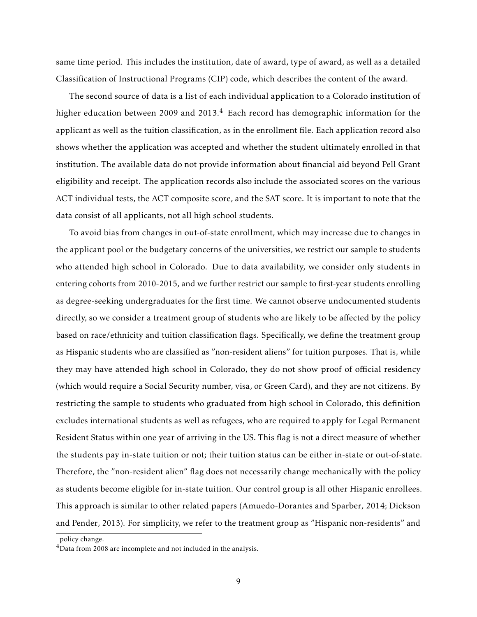same time period. This includes the institution, date of award, type of award, as well as a detailed Classification of Instructional Programs (CIP) code, which describes the content of the award.

The second source of data is a list of each individual application to a Colorado institution of higher education between 2009 and 2013.<sup>4</sup> Each record has demographic information for the applicant as well as the tuition classification, as in the enrollment file. Each application record also shows whether the application was accepted and whether the student ultimately enrolled in that institution. The available data do not provide information about financial aid beyond Pell Grant eligibility and receipt. The application records also include the associated scores on the various ACT individual tests, the ACT composite score, and the SAT score. It is important to note that the data consist of all applicants, not all high school students.

To avoid bias from changes in out-of-state enrollment, which may increase due to changes in the applicant pool or the budgetary concerns of the universities, we restrict our sample to students who attended high school in Colorado. Due to data availability, we consider only students in entering cohorts from 2010-2015, and we further restrict our sample to first-year students enrolling as degree-seeking undergraduates for the first time. We cannot observe undocumented students directly, so we consider a treatment group of students who are likely to be affected by the policy based on race/ethnicity and tuition classification flags. Specifically, we define the treatment group as Hispanic students who are classified as "non-resident aliens" for tuition purposes. That is, while they may have attended high school in Colorado, they do not show proof of official residency (which would require a Social Security number, visa, or Green Card), and they are not citizens. By restricting the sample to students who graduated from high school in Colorado, this definition excludes international students as well as refugees, who are required to apply for Legal Permanent Resident Status within one year of arriving in the US. This flag is not a direct measure of whether the students pay in-state tuition or not; their tuition status can be either in-state or out-of-state. Therefore, the "non-resident alien" flag does not necessarily change mechanically with the policy as students become eligible for in-state tuition. Our control group is all other Hispanic enrollees. This approach is similar to other related papers [\(Amuedo-Dorantes and Sparber,](#page-22-9) [2014;](#page-22-9) [Dickson](#page-22-10) [and Pender,](#page-22-10) [2013\)](#page-22-10). For simplicity, we refer to the treatment group as "Hispanic non-residents" and

policy change.

<sup>&</sup>lt;sup>4</sup>Data from 2008 are incomplete and not included in the analysis.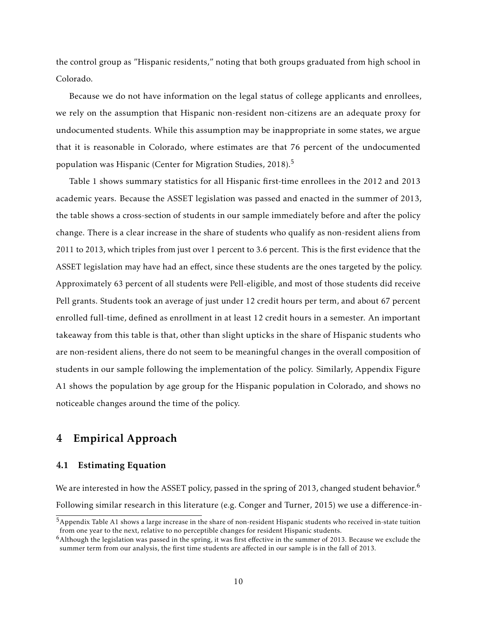the control group as "Hispanic residents," noting that both groups graduated from high school in Colorado.

Because we do not have information on the legal status of college applicants and enrollees, we rely on the assumption that Hispanic non-resident non-citizens are an adequate proxy for undocumented students. While this assumption may be inappropriate in some states, we argue that it is reasonable in Colorado, where estimates are that 76 percent of the undocumented population was Hispanic [\(Center for Migration Studies,](#page-22-12) [2018\)](#page-22-12).<sup>5</sup>

Table [1](#page-27-0) shows summary statistics for all Hispanic first-time enrollees in the 2012 and 2013 academic years. Because the ASSET legislation was passed and enacted in the summer of 2013, the table shows a cross-section of students in our sample immediately before and after the policy change. There is a clear increase in the share of students who qualify as non-resident aliens from 2011 to 2013, which triples from just over 1 percent to 3.6 percent. This is the first evidence that the ASSET legislation may have had an effect, since these students are the ones targeted by the policy. Approximately 63 percent of all students were Pell-eligible, and most of those students did receive Pell grants. Students took an average of just under 12 credit hours per term, and about 67 percent enrolled full-time, defined as enrollment in at least 12 credit hours in a semester. An important takeaway from this table is that, other than slight upticks in the share of Hispanic students who are non-resident aliens, there do not seem to be meaningful changes in the overall composition of students in our sample following the implementation of the policy. Similarly, Appendix Figure [A1](#page-32-0) shows the population by age group for the Hispanic population in Colorado, and shows no noticeable changes around the time of the policy.

# <span id="page-9-0"></span>4 Empirical Approach

## 4.1 Estimating Equation

We are interested in how the ASSET policy, passed in the spring of 2013, changed student behavior.<sup>6</sup> Following similar research in this literature (e.g. [Conger and Turner,](#page-22-11) [2015\)](#page-22-11) we use a difference-in-

<sup>5</sup>Appendix Table [A1](#page-33-0) shows a large increase in the share of non-resident Hispanic students who received in-state tuition from one year to the next, relative to no perceptible changes for resident Hispanic students.

<sup>&</sup>lt;sup>6</sup>Although the legislation was passed in the spring, it was first effective in the summer of 2013. Because we exclude the summer term from our analysis, the first time students are affected in our sample is in the fall of 2013.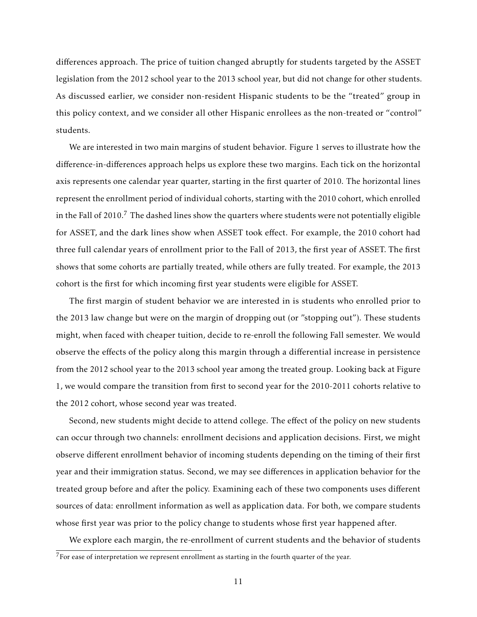differences approach. The price of tuition changed abruptly for students targeted by the ASSET legislation from the 2012 school year to the 2013 school year, but did not change for other students. As discussed earlier, we consider non-resident Hispanic students to be the "treated" group in this policy context, and we consider all other Hispanic enrollees as the non-treated or "control" students.

We are interested in two main margins of student behavior. Figure [1](#page-24-0) serves to illustrate how the difference-in-differences approach helps us explore these two margins. Each tick on the horizontal axis represents one calendar year quarter, starting in the first quarter of 2010. The horizontal lines represent the enrollment period of individual cohorts, starting with the 2010 cohort, which enrolled in the Fall of 2010.<sup>7</sup> The dashed lines show the quarters where students were not potentially eligible for ASSET, and the dark lines show when ASSET took effect. For example, the 2010 cohort had three full calendar years of enrollment prior to the Fall of 2013, the first year of ASSET. The first shows that some cohorts are partially treated, while others are fully treated. For example, the 2013 cohort is the first for which incoming first year students were eligible for ASSET.

The first margin of student behavior we are interested in is students who enrolled prior to the 2013 law change but were on the margin of dropping out (or "stopping out"). These students might, when faced with cheaper tuition, decide to re-enroll the following Fall semester. We would observe the effects of the policy along this margin through a differential increase in persistence from the 2012 school year to the 2013 school year among the treated group. Looking back at Figure [1,](#page-24-0) we would compare the transition from first to second year for the 2010-2011 cohorts relative to the 2012 cohort, whose second year was treated.

Second, new students might decide to attend college. The effect of the policy on new students can occur through two channels: enrollment decisions and application decisions. First, we might observe different enrollment behavior of incoming students depending on the timing of their first year and their immigration status. Second, we may see differences in application behavior for the treated group before and after the policy. Examining each of these two components uses different sources of data: enrollment information as well as application data. For both, we compare students whose first year was prior to the policy change to students whose first year happened after.

We explore each margin, the re-enrollment of current students and the behavior of students  $7$ For ease of interpretation we represent enrollment as starting in the fourth quarter of the year.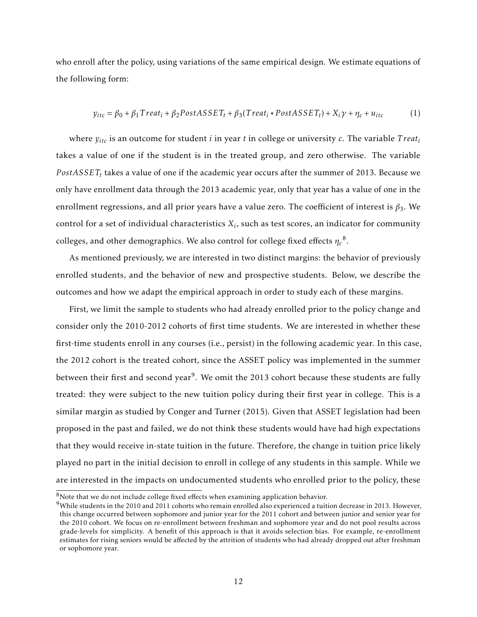who enroll after the policy, using variations of the same empirical design. We estimate equations of the following form:

<span id="page-11-0"></span>
$$
y_{itc} = \beta_0 + \beta_1 Treat_i + \beta_2 PostASSET_t + \beta_3 (Treat_i * PostASSET_t) + X_i \gamma + \eta_c + u_{itc}
$$
 (1)

where  $y_{itc}$  is an outcome for student *i* in year *t* in college or university *c*. The variable *Treat<sub>i</sub>* takes a value of one if the student is in the treated group, and zero otherwise. The variable  $PostASSET_{t}$  takes a value of one if the academic year occurs after the summer of 2013. Because we only have enrollment data through the 2013 academic year, only that year has a value of one in the enrollment regressions, and all prior years have a value zero. The coefficient of interest is  $\beta_3$ . We control for a set of individual characteristics *X<sup>i</sup>* , such as test scores, an indicator for community colleges, and other demographics. We also control for college fixed effects  $\eta_c^{-8}.$ 

As mentioned previously, we are interested in two distinct margins: the behavior of previously enrolled students, and the behavior of new and prospective students. Below, we describe the outcomes and how we adapt the empirical approach in order to study each of these margins.

First, we limit the sample to students who had already enrolled prior to the policy change and consider only the 2010-2012 cohorts of first time students. We are interested in whether these first-time students enroll in any courses (i.e., persist) in the following academic year. In this case, the 2012 cohort is the treated cohort, since the ASSET policy was implemented in the summer between their first and second year<sup>9</sup>. We omit the 2013 cohort because these students are fully treated: they were subject to the new tuition policy during their first year in college. This is a similar margin as studied by [Conger and Turner](#page-22-11) [\(2015\)](#page-22-11). Given that ASSET legislation had been proposed in the past and failed, we do not think these students would have had high expectations that they would receive in-state tuition in the future. Therefore, the change in tuition price likely played no part in the initial decision to enroll in college of any students in this sample. While we are interested in the impacts on undocumented students who enrolled prior to the policy, these

 $8$ Note that we do not include college fixed effects when examining application behavior.

<sup>&</sup>lt;sup>9</sup>While students in the 2010 and 2011 cohorts who remain enrolled also experienced a tuition decrease in 2013. However, this change occurred between sophomore and junior year for the 2011 cohort and between junior and senior year for the 2010 cohort. We focus on re-enrollment between freshman and sophomore year and do not pool results across grade-levels for simplicity. A benefit of this approach is that it avoids selection bias. For example, re-enrollment estimates for rising seniors would be affected by the attrition of students who had already dropped out after freshman or sophomore year.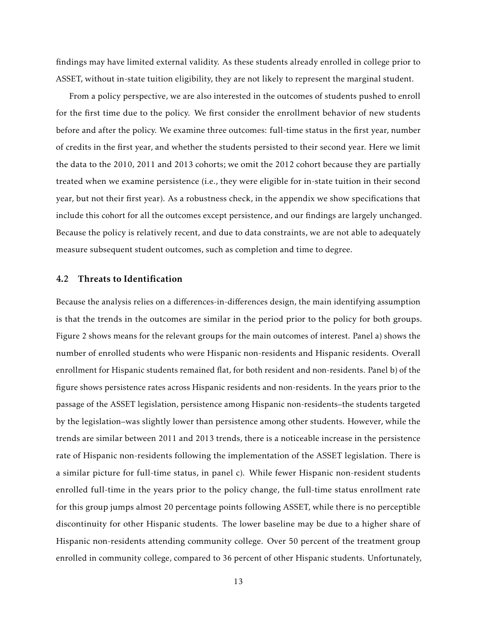findings may have limited external validity. As these students already enrolled in college prior to ASSET, without in-state tuition eligibility, they are not likely to represent the marginal student.

From a policy perspective, we are also interested in the outcomes of students pushed to enroll for the first time due to the policy. We first consider the enrollment behavior of new students before and after the policy. We examine three outcomes: full-time status in the first year, number of credits in the first year, and whether the students persisted to their second year. Here we limit the data to the 2010, 2011 and 2013 cohorts; we omit the 2012 cohort because they are partially treated when we examine persistence (i.e., they were eligible for in-state tuition in their second year, but not their first year). As a robustness check, in the appendix we show specifications that include this cohort for all the outcomes except persistence, and our findings are largely unchanged. Because the policy is relatively recent, and due to data constraints, we are not able to adequately measure subsequent student outcomes, such as completion and time to degree.

### 4.2 Threats to Identification

Because the analysis relies on a differences-in-differences design, the main identifying assumption is that the trends in the outcomes are similar in the period prior to the policy for both groups. Figure [2](#page-25-0) shows means for the relevant groups for the main outcomes of interest. Panel a) shows the number of enrolled students who were Hispanic non-residents and Hispanic residents. Overall enrollment for Hispanic students remained flat, for both resident and non-residents. Panel b) of the figure shows persistence rates across Hispanic residents and non-residents. In the years prior to the passage of the ASSET legislation, persistence among Hispanic non-residents–the students targeted by the legislation–was slightly lower than persistence among other students. However, while the trends are similar between 2011 and 2013 trends, there is a noticeable increase in the persistence rate of Hispanic non-residents following the implementation of the ASSET legislation. There is a similar picture for full-time status, in panel c). While fewer Hispanic non-resident students enrolled full-time in the years prior to the policy change, the full-time status enrollment rate for this group jumps almost 20 percentage points following ASSET, while there is no perceptible discontinuity for other Hispanic students. The lower baseline may be due to a higher share of Hispanic non-residents attending community college. Over 50 percent of the treatment group enrolled in community college, compared to 36 percent of other Hispanic students. Unfortunately,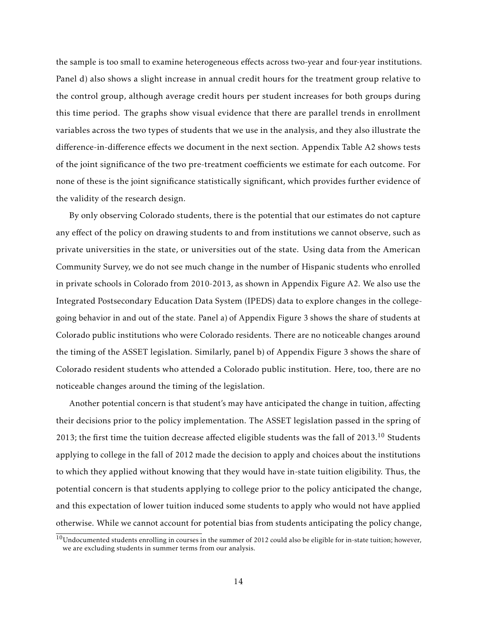the sample is too small to examine heterogeneous effects across two-year and four-year institutions. Panel d) also shows a slight increase in annual credit hours for the treatment group relative to the control group, although average credit hours per student increases for both groups during this time period. The graphs show visual evidence that there are parallel trends in enrollment variables across the two types of students that we use in the analysis, and they also illustrate the difference-in-difference effects we document in the next section. Appendix Table [A2](#page-34-0) shows tests of the joint significance of the two pre-treatment coefficients we estimate for each outcome. For none of these is the joint significance statistically significant, which provides further evidence of the validity of the research design.

By only observing Colorado students, there is the potential that our estimates do not capture any effect of the policy on drawing students to and from institutions we cannot observe, such as private universities in the state, or universities out of the state. Using data from the American Community Survey, we do not see much change in the number of Hispanic students who enrolled in private schools in Colorado from 2010-2013, as shown in Appendix Figure [A2.](#page-32-1) We also use the Integrated Postsecondary Education Data System (IPEDS) data to explore changes in the collegegoing behavior in and out of the state. Panel a) of Appendix Figure [3](#page-26-0) shows the share of students at Colorado public institutions who were Colorado residents. There are no noticeable changes around the timing of the ASSET legislation. Similarly, panel b) of Appendix Figure [3](#page-26-0) shows the share of Colorado resident students who attended a Colorado public institution. Here, too, there are no noticeable changes around the timing of the legislation.

Another potential concern is that student's may have anticipated the change in tuition, affecting their decisions prior to the policy implementation. The ASSET legislation passed in the spring of 2013; the first time the tuition decrease affected eligible students was the fall of 2013.<sup>10</sup> Students applying to college in the fall of 2012 made the decision to apply and choices about the institutions to which they applied without knowing that they would have in-state tuition eligibility. Thus, the potential concern is that students applying to college prior to the policy anticipated the change, and this expectation of lower tuition induced some students to apply who would not have applied otherwise. While we cannot account for potential bias from students anticipating the policy change,

 $10$ Undocumented students enrolling in courses in the summer of 2012 could also be eligible for in-state tuition; however, we are excluding students in summer terms from our analysis.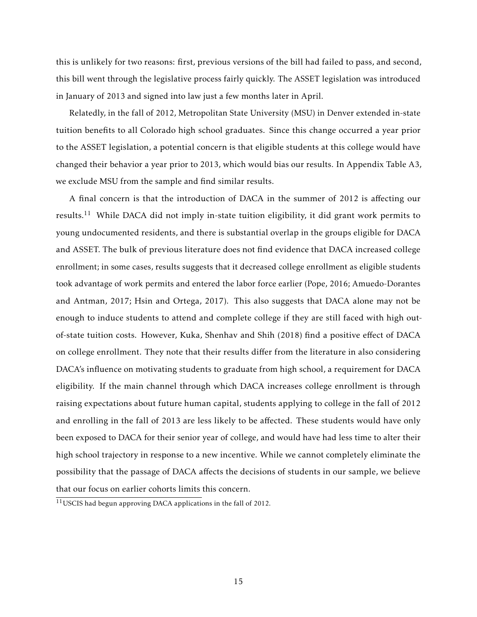this is unlikely for two reasons: first, previous versions of the bill had failed to pass, and second, this bill went through the legislative process fairly quickly. The ASSET legislation was introduced in January of 2013 and signed into law just a few months later in April.

Relatedly, in the fall of 2012, Metropolitan State University (MSU) in Denver extended in-state tuition benefits to all Colorado high school graduates. Since this change occurred a year prior to the ASSET legislation, a potential concern is that eligible students at this college would have changed their behavior a year prior to 2013, which would bias our results. In Appendix Table [A3,](#page-35-0) we exclude MSU from the sample and find similar results.

A final concern is that the introduction of DACA in the summer of 2012 is affecting our results.<sup>11</sup> While DACA did not imply in-state tuition eligibility, it did grant work permits to young undocumented residents, and there is substantial overlap in the groups eligible for DACA and ASSET. The bulk of previous literature does not find evidence that DACA increased college enrollment; in some cases, results suggests that it decreased college enrollment as eligible students took advantage of work permits and entered the labor force earlier [\(Pope,](#page-23-11) [2016;](#page-23-11) [Amuedo-Dorantes](#page-22-14) [and Antman,](#page-22-14) [2017;](#page-22-14) [Hsin and Ortega,](#page-23-12) [2017\)](#page-23-12). This also suggests that DACA alone may not be enough to induce students to attend and complete college if they are still faced with high outof-state tuition costs. However, [Kuka, Shenhav and Shih](#page-23-13) [\(2018\)](#page-23-13) find a positive effect of DACA on college enrollment. They note that their results differ from the literature in also considering DACA's influence on motivating students to graduate from high school, a requirement for DACA eligibility. If the main channel through which DACA increases college enrollment is through raising expectations about future human capital, students applying to college in the fall of 2012 and enrolling in the fall of 2013 are less likely to be affected. These students would have only been exposed to DACA for their senior year of college, and would have had less time to alter their high school trajectory in response to a new incentive. While we cannot completely eliminate the possibility that the passage of DACA affects the decisions of students in our sample, we believe that our focus on earlier cohorts limits this concern.

 $11$ USCIS had begun approving DACA applications in the fall of 2012.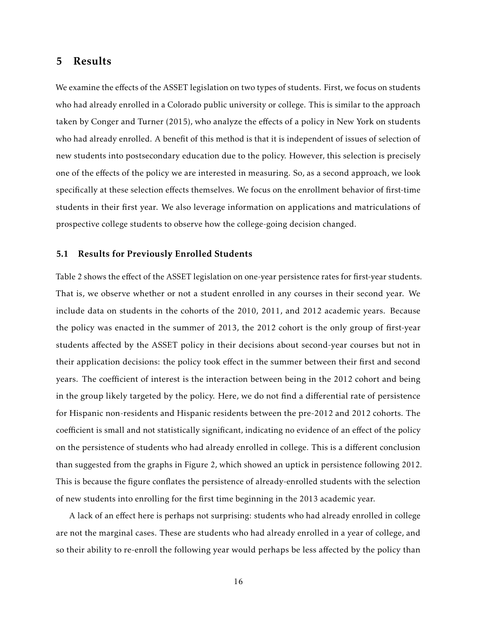## <span id="page-15-0"></span>5 Results

We examine the effects of the ASSET legislation on two types of students. First, we focus on students who had already enrolled in a Colorado public university or college. This is similar to the approach taken by [Conger and Turner](#page-22-11) [\(2015\)](#page-22-11), who analyze the effects of a policy in New York on students who had already enrolled. A benefit of this method is that it is independent of issues of selection of new students into postsecondary education due to the policy. However, this selection is precisely one of the effects of the policy we are interested in measuring. So, as a second approach, we look specifically at these selection effects themselves. We focus on the enrollment behavior of first-time students in their first year. We also leverage information on applications and matriculations of prospective college students to observe how the college-going decision changed.

## 5.1 Results for Previously Enrolled Students

Table [2](#page-28-0) shows the effect of the ASSET legislation on one-year persistence rates for first-year students. That is, we observe whether or not a student enrolled in any courses in their second year. We include data on students in the cohorts of the 2010, 2011, and 2012 academic years. Because the policy was enacted in the summer of 2013, the 2012 cohort is the only group of first-year students affected by the ASSET policy in their decisions about second-year courses but not in their application decisions: the policy took effect in the summer between their first and second years. The coefficient of interest is the interaction between being in the 2012 cohort and being in the group likely targeted by the policy. Here, we do not find a differential rate of persistence for Hispanic non-residents and Hispanic residents between the pre-2012 and 2012 cohorts. The coefficient is small and not statistically significant, indicating no evidence of an effect of the policy on the persistence of students who had already enrolled in college. This is a different conclusion than suggested from the graphs in Figure [2,](#page-25-0) which showed an uptick in persistence following 2012. This is because the figure conflates the persistence of already-enrolled students with the selection of new students into enrolling for the first time beginning in the 2013 academic year.

A lack of an effect here is perhaps not surprising: students who had already enrolled in college are not the marginal cases. These are students who had already enrolled in a year of college, and so their ability to re-enroll the following year would perhaps be less affected by the policy than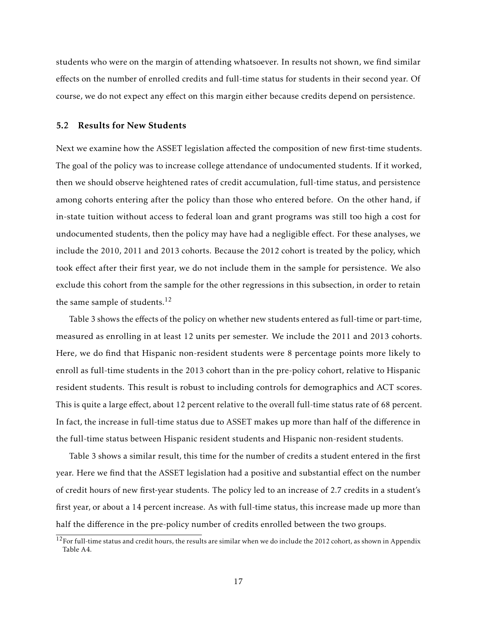students who were on the margin of attending whatsoever. In results not shown, we find similar effects on the number of enrolled credits and full-time status for students in their second year. Of course, we do not expect any effect on this margin either because credits depend on persistence.

## 5.2 Results for New Students

Next we examine how the ASSET legislation affected the composition of new first-time students. The goal of the policy was to increase college attendance of undocumented students. If it worked, then we should observe heightened rates of credit accumulation, full-time status, and persistence among cohorts entering after the policy than those who entered before. On the other hand, if in-state tuition without access to federal loan and grant programs was still too high a cost for undocumented students, then the policy may have had a negligible effect. For these analyses, we include the 2010, 2011 and 2013 cohorts. Because the 2012 cohort is treated by the policy, which took effect after their first year, we do not include them in the sample for persistence. We also exclude this cohort from the sample for the other regressions in this subsection, in order to retain the same sample of students.<sup>12</sup>

Table [3](#page-29-0) shows the effects of the policy on whether new students entered as full-time or part-time, measured as enrolling in at least 12 units per semester. We include the 2011 and 2013 cohorts. Here, we do find that Hispanic non-resident students were 8 percentage points more likely to enroll as full-time students in the 2013 cohort than in the pre-policy cohort, relative to Hispanic resident students. This result is robust to including controls for demographics and ACT scores. This is quite a large effect, about 12 percent relative to the overall full-time status rate of 68 percent. In fact, the increase in full-time status due to ASSET makes up more than half of the difference in the full-time status between Hispanic resident students and Hispanic non-resident students.

Table [3](#page-29-0) shows a similar result, this time for the number of credits a student entered in the first year. Here we find that the ASSET legislation had a positive and substantial effect on the number of credit hours of new first-year students. The policy led to an increase of 2.7 credits in a student's first year, or about a 14 percent increase. As with full-time status, this increase made up more than half the difference in the pre-policy number of credits enrolled between the two groups.

 $12$ For full-time status and credit hours, the results are similar when we do include the 2012 cohort, as shown in Appendix Table [A4.](#page-36-0)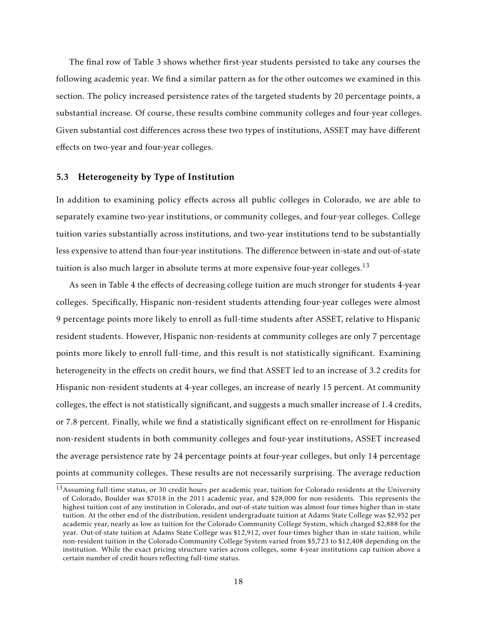The final row of Table [3](#page-29-0) shows whether first-year students persisted to take any courses the following academic year. We find a similar pattern as for the other outcomes we examined in this section. The policy increased persistence rates of the targeted students by 20 percentage points, a substantial increase. Of course, these results combine community colleges and four-year colleges. Given substantial cost differences across these two types of institutions, ASSET may have different effects on two-year and four-year colleges.

## 5.3 Heterogeneity by Type of Institution

In addition to examining policy effects across all public colleges in Colorado, we are able to separately examine two-year institutions, or community colleges, and four-year colleges. College tuition varies substantially across institutions, and two-year institutions tend to be substantially less expensive to attend than four-year institutions. The difference between in-state and out-of-state tuition is also much larger in absolute terms at more expensive four-year colleges.<sup>13</sup>

As seen in Table [4](#page-30-0) the effects of decreasing college tuition are much stronger for students 4-year colleges. Specifically, Hispanic non-resident students attending four-year colleges were almost 9 percentage points more likely to enroll as full-time students after ASSET, relative to Hispanic resident students. However, Hispanic non-residents at community colleges are only 7 percentage points more likely to enroll full-time, and this result is not statistically significant. Examining heterogeneity in the effects on credit hours, we find that ASSET led to an increase of 3.2 credits for Hispanic non-resident students at 4-year colleges, an increase of nearly 15 percent. At community colleges, the effect is not statistically significant, and suggests a much smaller increase of 1.4 credits, or 7.8 percent. Finally, while we find a statistically significant effect on re-enrollment for Hispanic non-resident students in both community colleges and four-year institutions, ASSET increased the average persistence rate by 24 percentage points at four-year colleges, but only 14 percentage points at community colleges. These results are not necessarily surprising. The average reduction

 $13$ Assuming full-time status, or 30 credit hours per academic year, tuition for Colorado residents at the University of Colorado, Boulder was \$7018 in the 2011 academic year, and \$28,000 for non-residents. This represents the highest tuition cost of any institution in Colorado, and out-of-state tuition was almost four times higher than in-state tuition. At the other end of the distribution, resident undergraduate tuition at Adams State College was \$2,952 per academic year, nearly as low as tuition for the Colorado Community College System, which charged \$2,888 for the year. Out-of-state tuition at Adams State College was \$12,912, over four-times higher than in-state tuition, while non-resident tuition in the Colorado Community College System varied from \$5,723 to \$12,408 depending on the institution. While the exact pricing structure varies across colleges, some 4-year institutions cap tuition above a certain number of credit hours reflecting full-time status.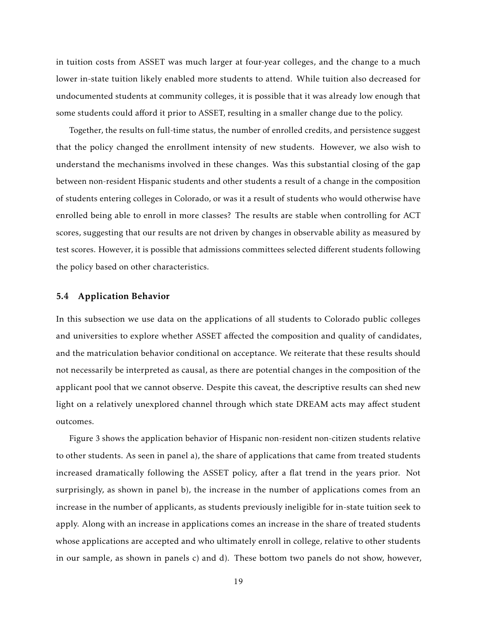in tuition costs from ASSET was much larger at four-year colleges, and the change to a much lower in-state tuition likely enabled more students to attend. While tuition also decreased for undocumented students at community colleges, it is possible that it was already low enough that some students could afford it prior to ASSET, resulting in a smaller change due to the policy.

Together, the results on full-time status, the number of enrolled credits, and persistence suggest that the policy changed the enrollment intensity of new students. However, we also wish to understand the mechanisms involved in these changes. Was this substantial closing of the gap between non-resident Hispanic students and other students a result of a change in the composition of students entering colleges in Colorado, or was it a result of students who would otherwise have enrolled being able to enroll in more classes? The results are stable when controlling for ACT scores, suggesting that our results are not driven by changes in observable ability as measured by test scores. However, it is possible that admissions committees selected different students following the policy based on other characteristics.

#### 5.4 Application Behavior

In this subsection we use data on the applications of all students to Colorado public colleges and universities to explore whether ASSET affected the composition and quality of candidates, and the matriculation behavior conditional on acceptance. We reiterate that these results should not necessarily be interpreted as causal, as there are potential changes in the composition of the applicant pool that we cannot observe. Despite this caveat, the descriptive results can shed new light on a relatively unexplored channel through which state DREAM acts may affect student outcomes.

Figure [3](#page-26-0) shows the application behavior of Hispanic non-resident non-citizen students relative to other students. As seen in panel a), the share of applications that came from treated students increased dramatically following the ASSET policy, after a flat trend in the years prior. Not surprisingly, as shown in panel b), the increase in the number of applications comes from an increase in the number of applicants, as students previously ineligible for in-state tuition seek to apply. Along with an increase in applications comes an increase in the share of treated students whose applications are accepted and who ultimately enroll in college, relative to other students in our sample, as shown in panels c) and d). These bottom two panels do not show, however,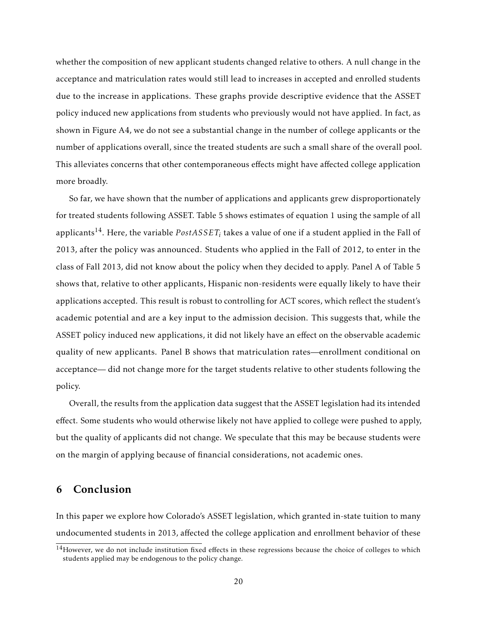whether the composition of new applicant students changed relative to others. A null change in the acceptance and matriculation rates would still lead to increases in accepted and enrolled students due to the increase in applications. These graphs provide descriptive evidence that the ASSET policy induced new applications from students who previously would not have applied. In fact, as shown in Figure [A4,](#page-33-1) we do not see a substantial change in the number of college applicants or the number of applications overall, since the treated students are such a small share of the overall pool. This alleviates concerns that other contemporaneous effects might have affected college application more broadly.

So far, we have shown that the number of applications and applicants grew disproportionately for treated students following ASSET. Table [5](#page-31-0) shows estimates of equation [1](#page-11-0) using the sample of all applicants<sup>14</sup>. Here, the variable  $PostASSET_{i}$  takes a value of one if a student applied in the Fall of 2013, after the policy was announced. Students who applied in the Fall of 2012, to enter in the class of Fall 2013, did not know about the policy when they decided to apply. Panel A of Table [5](#page-31-0) shows that, relative to other applicants, Hispanic non-residents were equally likely to have their applications accepted. This result is robust to controlling for ACT scores, which reflect the student's academic potential and are a key input to the admission decision. This suggests that, while the ASSET policy induced new applications, it did not likely have an effect on the observable academic quality of new applicants. Panel B shows that matriculation rates—enrollment conditional on acceptance— did not change more for the target students relative to other students following the policy.

Overall, the results from the application data suggest that the ASSET legislation had its intended effect. Some students who would otherwise likely not have applied to college were pushed to apply, but the quality of applicants did not change. We speculate that this may be because students were on the margin of applying because of financial considerations, not academic ones.

## <span id="page-19-0"></span>6 Conclusion

In this paper we explore how Colorado's ASSET legislation, which granted in-state tuition to many undocumented students in 2013, affected the college application and enrollment behavior of these

<sup>&</sup>lt;sup>14</sup>However, we do not include institution fixed effects in these regressions because the choice of colleges to which students applied may be endogenous to the policy change.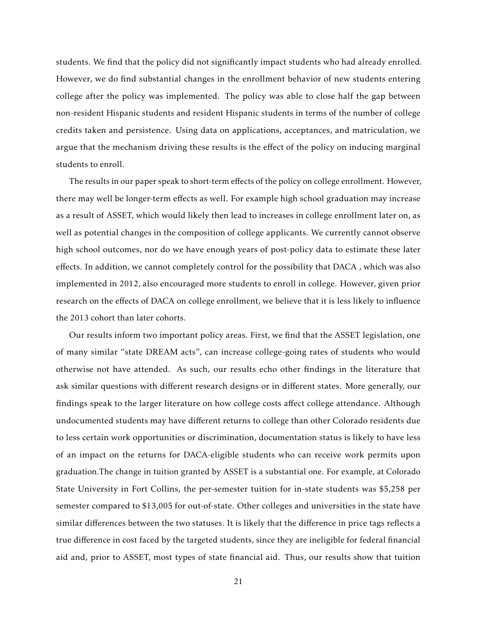students. We find that the policy did not significantly impact students who had already enrolled. However, we do find substantial changes in the enrollment behavior of new students entering college after the policy was implemented. The policy was able to close half the gap between non-resident Hispanic students and resident Hispanic students in terms of the number of college credits taken and persistence. Using data on applications, acceptances, and matriculation, we argue that the mechanism driving these results is the effect of the policy on inducing marginal students to enroll.

The results in our paper speak to short-term effects of the policy on college enrollment. However, there may well be longer-term effects as well. For example high school graduation may increase as a result of ASSET, which would likely then lead to increases in college enrollment later on, as well as potential changes in the composition of college applicants. We currently cannot observe high school outcomes, nor do we have enough years of post-policy data to estimate these later effects. In addition, we cannot completely control for the possibility that DACA , which was also implemented in 2012, also encouraged more students to enroll in college. However, given prior research on the effects of DACA on college enrollment, we believe that it is less likely to influence the 2013 cohort than later cohorts.

Our results inform two important policy areas. First, we find that the ASSET legislation, one of many similar "state DREAM acts", can increase college-going rates of students who would otherwise not have attended. As such, our results echo other findings in the literature that ask similar questions with different research designs or in different states. More generally, our findings speak to the larger literature on how college costs affect college attendance. Although undocumented students may have different returns to college than other Colorado residents due to less certain work opportunities or discrimination, documentation status is likely to have less of an impact on the returns for DACA-eligible students who can receive work permits upon graduation.The change in tuition granted by ASSET is a substantial one. For example, at Colorado State University in Fort Collins, the per-semester tuition for in-state students was \$5,258 per semester compared to \$13,005 for out-of-state. Other colleges and universities in the state have similar differences between the two statuses. It is likely that the difference in price tags reflects a true difference in cost faced by the targeted students, since they are ineligible for federal financial aid and, prior to ASSET, most types of state financial aid. Thus, our results show that tuition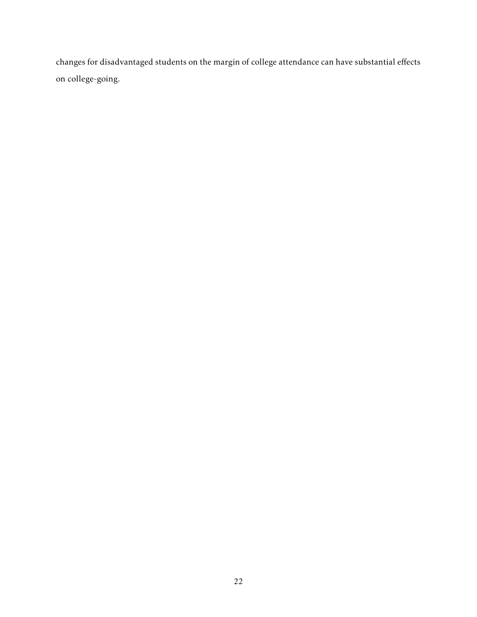changes for disadvantaged students on the margin of college attendance can have substantial effects on college-going.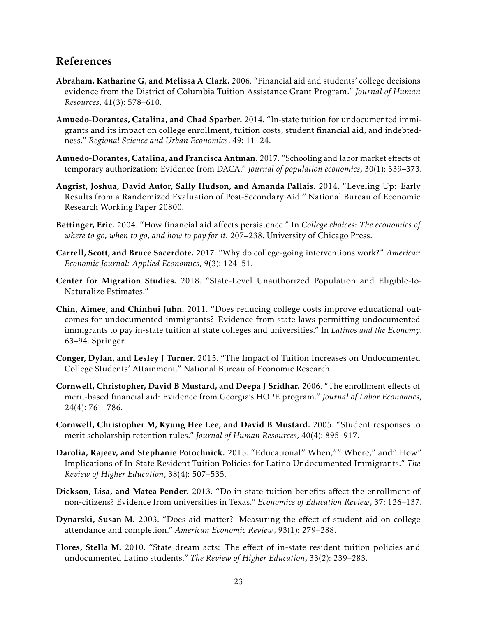## References

- <span id="page-22-3"></span>Abraham, Katharine G, and Melissa A Clark. 2006. "Financial aid and students' college decisions evidence from the District of Columbia Tuition Assistance Grant Program." *Journal of Human Resources*, 41(3): 578–610.
- <span id="page-22-9"></span>Amuedo-Dorantes, Catalina, and Chad Sparber. 2014. "In-state tuition for undocumented immigrants and its impact on college enrollment, tuition costs, student financial aid, and indebtedness." *Regional Science and Urban Economics*, 49: 11–24.
- <span id="page-22-14"></span>Amuedo-Dorantes, Catalina, and Francisca Antman. 2017. "Schooling and labor market effects of temporary authorization: Evidence from DACA." *Journal of population economics*, 30(1): 339–373.
- <span id="page-22-13"></span>Angrist, Joshua, David Autor, Sally Hudson, and Amanda Pallais. 2014. "Leveling Up: Early Results from a Randomized Evaluation of Post-Secondary Aid." National Bureau of Economic Research Working Paper 20800.
- <span id="page-22-1"></span>Bettinger, Eric. 2004. "How financial aid affects persistence." In *College choices: The economics of where to go, when to go, and how to pay for it*. 207–238. University of Chicago Press.
- <span id="page-22-0"></span>Carrell, Scott, and Bruce Sacerdote. 2017. "Why do college-going interventions work?" *American Economic Journal: Applied Economics*, 9(3): 124–51.
- <span id="page-22-12"></span>Center for Migration Studies. 2018. "State-Level Unauthorized Population and Eligible-to-Naturalize Estimates."
- <span id="page-22-8"></span>Chin, Aimee, and Chinhui Juhn. 2011. "Does reducing college costs improve educational outcomes for undocumented immigrants? Evidence from state laws permitting undocumented immigrants to pay in-state tuition at state colleges and universities." In *Latinos and the Economy*. 63–94. Springer.
- <span id="page-22-11"></span>Conger, Dylan, and Lesley J Turner. 2015. "The Impact of Tuition Increases on Undocumented College Students' Attainment." National Bureau of Economic Research.
- <span id="page-22-4"></span>Cornwell, Christopher, David B Mustard, and Deepa J Sridhar. 2006. "The enrollment effects of merit-based financial aid: Evidence from Georgia's HOPE program." *Journal of Labor Economics*, 24(4): 761–786.
- <span id="page-22-5"></span>Cornwell, Christopher M, Kyung Hee Lee, and David B Mustard. 2005. "Student responses to merit scholarship retention rules." *Journal of Human Resources*, 40(4): 895–917.
- <span id="page-22-7"></span>Darolia, Rajeev, and Stephanie Potochnick. 2015. "Educational" When,"" Where," and" How" Implications of In-State Resident Tuition Policies for Latino Undocumented Immigrants." *The Review of Higher Education*, 38(4): 507–535.
- <span id="page-22-10"></span>Dickson, Lisa, and Matea Pender. 2013. "Do in-state tuition benefits affect the enrollment of non-citizens? Evidence from universities in Texas." *Economics of Education Review*, 37: 126–137.
- <span id="page-22-2"></span>Dynarski, Susan M. 2003. "Does aid matter? Measuring the effect of student aid on college attendance and completion." *American Economic Review*, 93(1): 279–288.
- <span id="page-22-6"></span>Flores, Stella M. 2010. "State dream acts: The effect of in-state resident tuition policies and undocumented Latino students." *The Review of Higher Education*, 33(2): 239–283.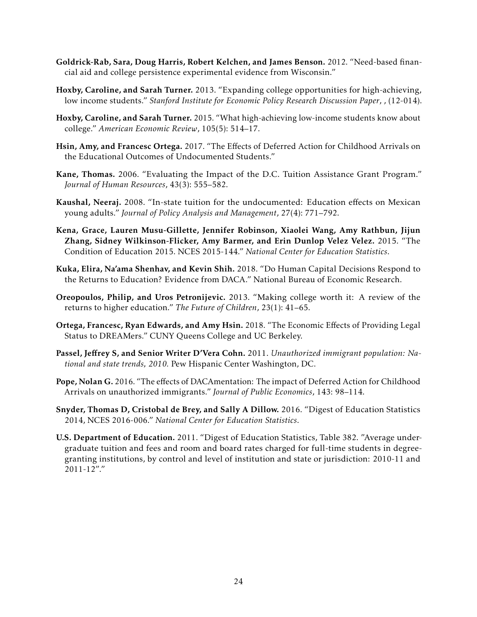- <span id="page-23-6"></span>Goldrick-Rab, Sara, Doug Harris, Robert Kelchen, and James Benson. 2012. "Need-based financial aid and college persistence experimental evidence from Wisconsin."
- <span id="page-23-4"></span>Hoxby, Caroline, and Sarah Turner. 2013. "Expanding college opportunities for high-achieving, low income students." *Stanford Institute for Economic Policy Research Discussion Paper*, , (12-014).
- <span id="page-23-3"></span>Hoxby, Caroline, and Sarah Turner. 2015. "What high-achieving low-income students know about college." *American Economic Review*, 105(5): 514–17.
- <span id="page-23-12"></span>Hsin, Amy, and Francesc Ortega. 2017. "The Effects of Deferred Action for Childhood Arrivals on the Educational Outcomes of Undocumented Students."
- <span id="page-23-5"></span>Kane, Thomas. 2006. "Evaluating the Impact of the D.C. Tuition Assistance Grant Program." *Journal of Human Resources*, 43(3): 555–582.
- <span id="page-23-7"></span>Kaushal, Neeraj. 2008. "In-state tuition for the undocumented: Education effects on Mexican young adults." *Journal of Policy Analysis and Management*, 27(4): 771–792.
- <span id="page-23-2"></span>Kena, Grace, Lauren Musu-Gillette, Jennifer Robinson, Xiaolei Wang, Amy Rathbun, Jijun Zhang, Sidney Wilkinson-Flicker, Amy Barmer, and Erin Dunlop Velez Velez. 2015. "The Condition of Education 2015. NCES 2015-144." *National Center for Education Statistics*.
- <span id="page-23-13"></span>Kuka, Elira, Na'ama Shenhav, and Kevin Shih. 2018. "Do Human Capital Decisions Respond to the Returns to Education? Evidence from DACA." National Bureau of Economic Research.
- <span id="page-23-0"></span>Oreopoulos, Philip, and Uros Petronijevic. 2013. "Making college worth it: A review of the returns to higher education." *The Future of Children*, 23(1): 41–65.
- <span id="page-23-8"></span>Ortega, Francesc, Ryan Edwards, and Amy Hsin. 2018. "The Economic Effects of Providing Legal Status to DREAMers." CUNY Queens College and UC Berkeley.
- <span id="page-23-9"></span>Passel, Jeffrey S, and Senior Writer D'Vera Cohn. 2011. *Unauthorized immigrant population: National and state trends, 2010.* Pew Hispanic Center Washington, DC.
- <span id="page-23-11"></span>Pope, Nolan G. 2016. "The effects of DACAmentation: The impact of Deferred Action for Childhood Arrivals on unauthorized immigrants." *Journal of Public Economics*, 143: 98–114.
- <span id="page-23-1"></span>Snyder, Thomas D, Cristobal de Brey, and Sally A Dillow. 2016. "Digest of Education Statistics 2014, NCES 2016-006." *National Center for Education Statistics*.
- <span id="page-23-10"></span>U.S. Department of Education. 2011. "Digest of Education Statistics, Table 382. "Average undergraduate tuition and fees and room and board rates charged for full-time students in degreegranting institutions, by control and level of institution and state or jurisdiction: 2010-11 and 2011-12"."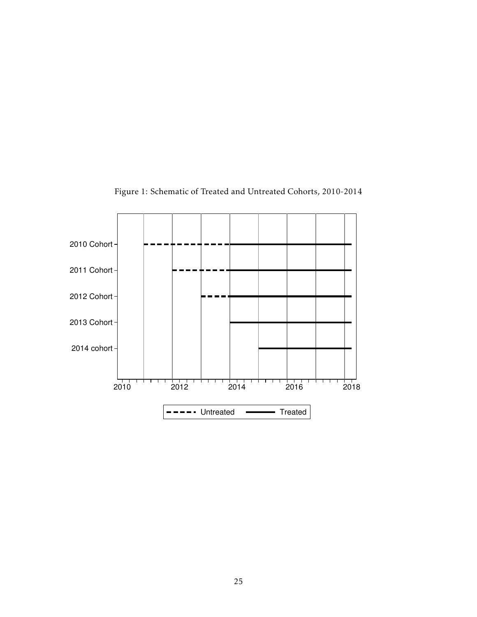<span id="page-24-0"></span>

Figure 1: Schematic of Treated and Untreated Cohorts, 2010-2014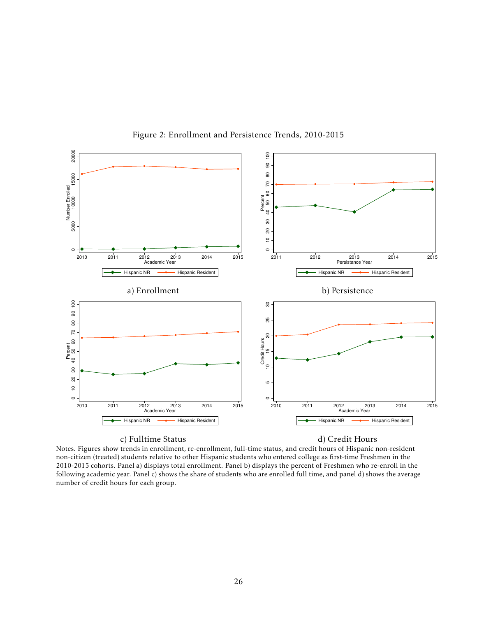<span id="page-25-0"></span>

Figure 2: Enrollment and Persistence Trends, 2010-2015

#### c) Fulltime Status d) Credit Hours

Notes. Figures show trends in enrollment, re-enrollment, full-time status, and credit hours of Hispanic non-resident non-citizen (treated) students relative to other Hispanic students who entered college as first-time Freshmen in the 2010-2015 cohorts. Panel a) displays total enrollment. Panel b) displays the percent of Freshmen who re-enroll in the following academic year. Panel c) shows the share of students who are enrolled full time, and panel d) shows the average number of credit hours for each group.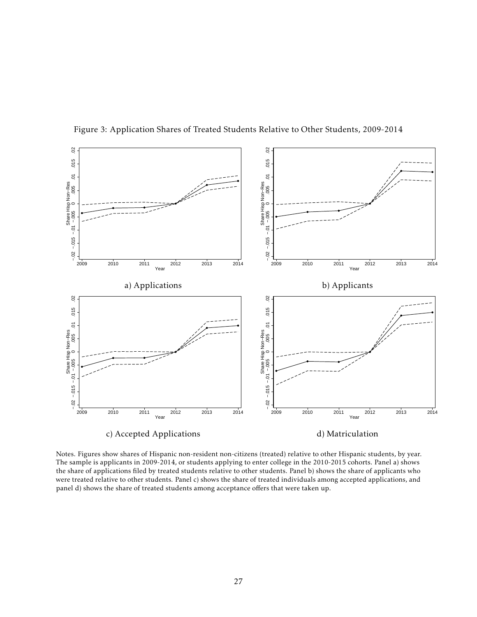<span id="page-26-0"></span>

Figure 3: Application Shares of Treated Students Relative to Other Students, 2009-2014

Notes. Figures show shares of Hispanic non-resident non-citizens (treated) relative to other Hispanic students, by year. The sample is applicants in 2009-2014, or students applying to enter college in the 2010-2015 cohorts. Panel a) shows the share of applications filed by treated students relative to other students. Panel b) shows the share of applicants who were treated relative to other students. Panel c) shows the share of treated individuals among accepted applications, and panel d) shows the share of treated students among acceptance offers that were taken up.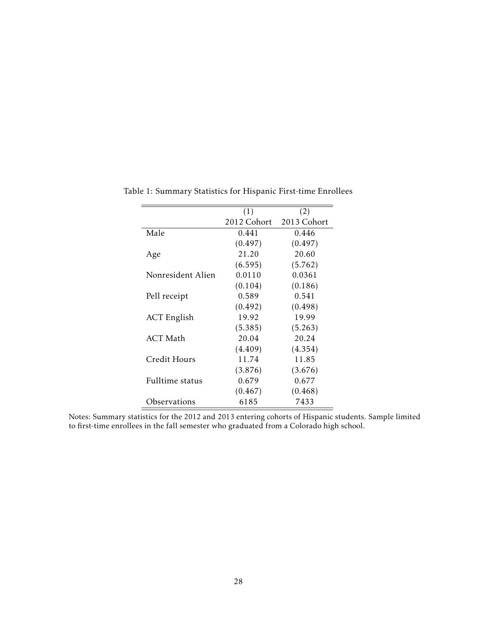<span id="page-27-0"></span>Table 1: Summary Statistics for Hispanic First-time Enrollees

Notes: Summary statistics for the 2012 and 2013 entering cohorts of Hispanic students. Sample limited to first-time enrollees in the fall semester who graduated from a Colorado high school.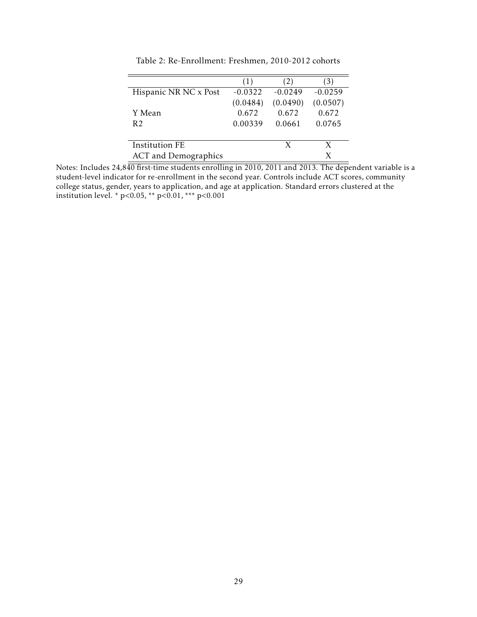<span id="page-28-0"></span>

|                             | (1)       | (2)       | $\lceil 3 \rceil$ |
|-----------------------------|-----------|-----------|-------------------|
| Hispanic NR NC x Post       | $-0.0322$ | $-0.0249$ | $-0.0259$         |
|                             | (0.0484)  | (0.0490)  | (0.0507)          |
| Y Mean                      | 0.672     | 0.672     | 0.672             |
| R <sub>2</sub>              | 0.00339   | 0.0661    | 0.0765            |
|                             |           |           |                   |
| Institution FE              |           | X         | X                 |
| <b>ACT</b> and Demographics |           |           | X                 |

Table 2: Re-Enrollment: Freshmen, 2010-2012 cohorts

Notes: Includes 24,840 first-time students enrolling in 2010, 2011 and 2013. The dependent variable is a student-level indicator for re-enrollment in the second year. Controls include ACT scores, community college status, gender, years to application, and age at application. Standard errors clustered at the institution level. \* p*<*0.05, \*\* p*<*0.01, \*\*\* p*<*0.001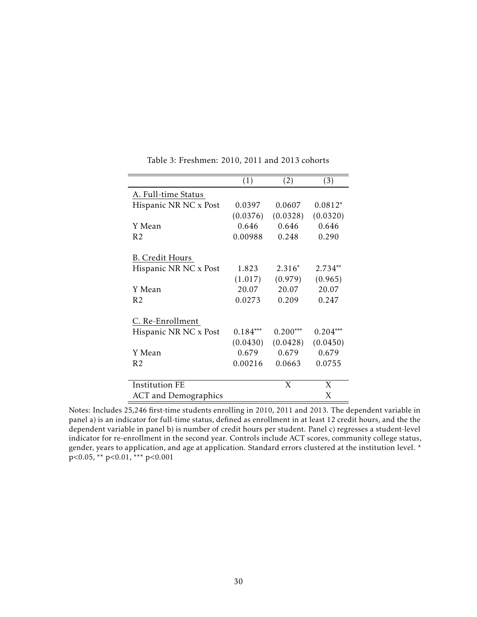<span id="page-29-0"></span>

|                        | (1)        | (2)        | (3)        |
|------------------------|------------|------------|------------|
| A. Full-time Status    |            |            |            |
| Hispanic NR NC x Post  | 0.0397     | 0.0607     | $0.0812*$  |
|                        | (0.0376)   | (0.0328)   | (0.0320)   |
| Y Mean                 | 0.646      | 0.646      | 0.646      |
| R <sub>2</sub>         | 0.00988    | 0.248      | 0.290      |
| <b>B.</b> Credit Hours |            |            |            |
| Hispanic NR NC x Post  | 1.823      | $2.316*$   | $2.734**$  |
|                        | (1.017)    | (0.979)    | (0.965)    |
| Y Mean                 | 20.07      | 20.07      | 20.07      |
| R <sub>2</sub>         | 0.0273     | 0.209      | 0.247      |
| C. Re-Enrollment       |            |            |            |
| Hispanic NR NC x Post  | $0.184***$ | $0.200***$ | $0.204***$ |
|                        | (0.0430)   | (0.0428)   | (0.0450)   |
| Y Mean                 | 0.679      | 0.679      | 0.679      |
| R <sub>2</sub>         | 0.00216    | 0.0663     | 0.0755     |
|                        |            |            |            |
| <b>Institution FE</b>  |            | X          | X          |
| ACT and Demographics   |            |            | X          |

Table 3: Freshmen: 2010, 2011 and 2013 cohorts

Notes: Includes 25,246 first-time students enrolling in 2010, 2011 and 2013. The dependent variable in panel a) is an indicator for full-time status, defined as enrollment in at least 12 credit hours, and the the dependent variable in panel b) is number of credit hours per student. Panel c) regresses a student-level indicator for re-enrollment in the second year. Controls include ACT scores, community college status, gender, years to application, and age at application. Standard errors clustered at the institution level. \* p*<*0.05, \*\* p*<*0.01, \*\*\* p*<*0.001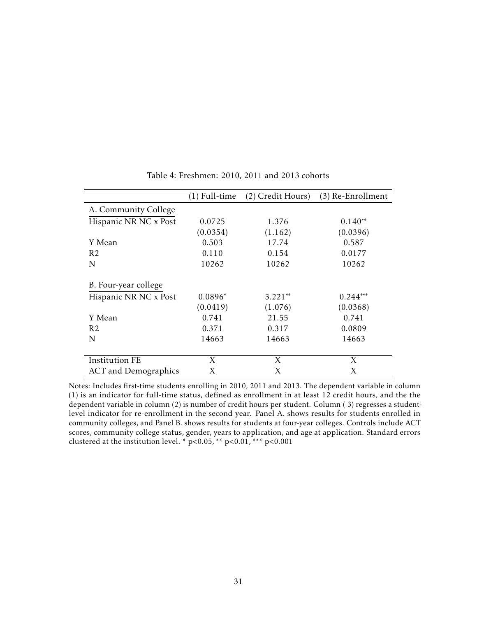<span id="page-30-0"></span>

|                             | (1) Full-time | (2) Credit Hours) | (3) Re-Enrollment |
|-----------------------------|---------------|-------------------|-------------------|
| A. Community College        |               |                   |                   |
| Hispanic NR NC x Post       | 0.0725        | 1.376             | $0.140**$         |
|                             | (0.0354)      | (1.162)           | (0.0396)          |
| Y Mean                      | 0.503         | 17.74             | 0.587             |
| R <sub>2</sub>              | 0.110         | 0.154             | 0.0177            |
| N                           | 10262         | 10262             | 10262             |
| B. Four-year college        |               |                   |                   |
| Hispanic NR NC x Post       | $0.0896*$     | $3.221**$         | $0.244***$        |
|                             | (0.0419)      | (1.076)           | (0.0368)          |
| Y Mean                      | 0.741         | 21.55             | 0.741             |
| R <sub>2</sub>              | 0.371         | 0.317             | 0.0809            |
| N                           | 14663         | 14663             | 14663             |
|                             |               |                   |                   |
| <b>Institution FE</b>       | X             | X                 | X                 |
| <b>ACT</b> and Demographics | X             | Χ                 | X                 |

Table 4: Freshmen: 2010, 2011 and 2013 cohorts

Notes: Includes first-time students enrolling in 2010, 2011 and 2013. The dependent variable in column (1) is an indicator for full-time status, defined as enrollment in at least 12 credit hours, and the the dependent variable in column (2) is number of credit hours per student. Column ( 3) regresses a studentlevel indicator for re-enrollment in the second year. Panel A. shows results for students enrolled in community colleges, and Panel B. shows results for students at four-year colleges. Controls include ACT scores, community college status, gender, years to application, and age at application. Standard errors clustered at the institution level. \* p*<*0.05, \*\* p*<*0.01, \*\*\* p*<*0.001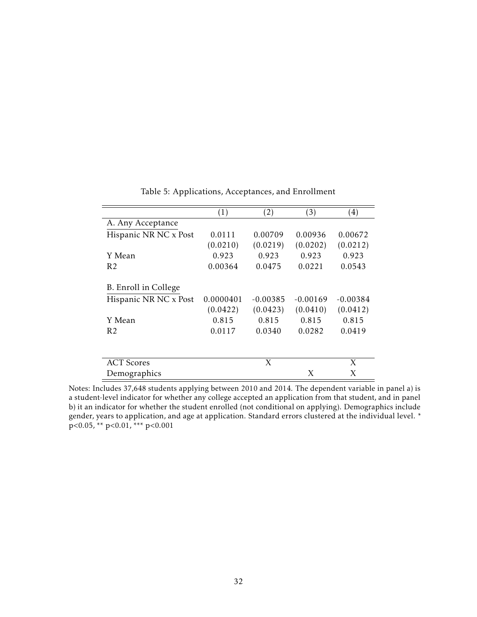<span id="page-31-0"></span>

|                       | (1)       | (2)        | (3)        | (4)        |
|-----------------------|-----------|------------|------------|------------|
| A. Any Acceptance     |           |            |            |            |
| Hispanic NR NC x Post | 0.0111    | 0.00709    | 0.00936    | 0.00672    |
|                       | (0.0210)  | (0.0219)   | (0.0202)   | (0.0212)   |
| Y Mean                | 0.923     | 0.923      | 0.923      | 0.923      |
| R <sub>2</sub>        | 0.00364   | 0.0475     | 0.0221     | 0.0543     |
| B. Enroll in College  |           |            |            |            |
| Hispanic NR NC x Post | 0.0000401 | $-0.00385$ | $-0.00169$ | $-0.00384$ |
|                       | (0.0422)  | (0.0423)   | (0.0410)   | (0.0412)   |
| Y Mean                | 0.815     | 0.815      | 0.815      | 0.815      |
| R2                    | 0.0117    | 0.0340     | 0.0282     | 0.0419     |
|                       |           |            |            |            |
| <b>ACT</b> Scores     |           | X          |            | X          |
| Demographics          |           |            | X          | X          |

Table 5: Applications, Acceptances, and Enrollment

Notes: Includes 37,648 students applying between 2010 and 2014. The dependent variable in panel a) is a student-level indicator for whether any college accepted an application from that student, and in panel b) it an indicator for whether the student enrolled (not conditional on applying). Demographics include gender, years to application, and age at application. Standard errors clustered at the individual level. \* p*<*0.05, \*\* p*<*0.01, \*\*\* p*<*0.001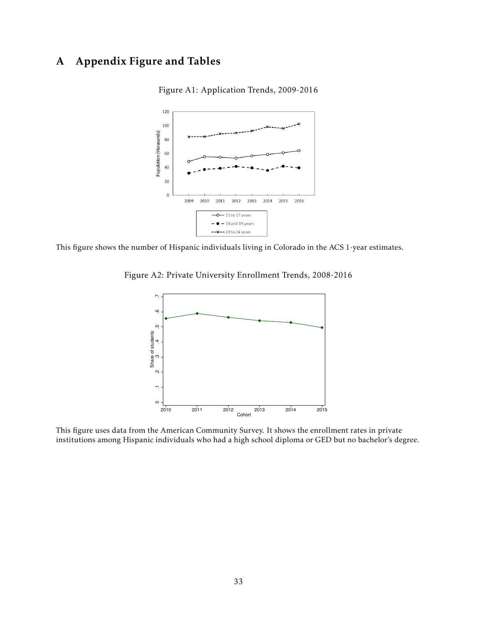# <span id="page-32-0"></span>A Appendix Figure and Tables



Figure A1: Application Trends, 2009-2016

<span id="page-32-1"></span>This figure shows the number of Hispanic individuals living in Colorado in the ACS 1-year estimates.

Figure A2: Private University Enrollment Trends, 2008-2016



This figure uses data from the American Community Survey. It shows the enrollment rates in private institutions among Hispanic individuals who had a high school diploma or GED but no bachelor's degree.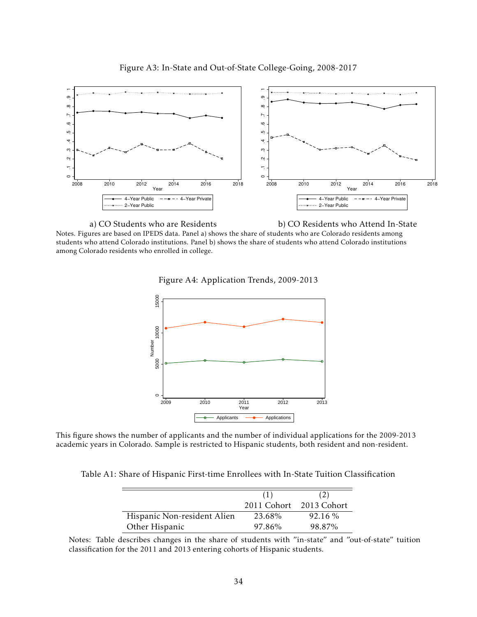



<span id="page-33-1"></span>

Figure A4: Application Trends, 2009-2013



This figure shows the number of applicants and the number of individual applications for the 2009-2013 academic years in Colorado. Sample is restricted to Hispanic students, both resident and non-resident.

<span id="page-33-0"></span>Table A1: Share of Hispanic First-time Enrollees with In-State Tuition Classification

|                             | (1)                     | (2)     |
|-----------------------------|-------------------------|---------|
|                             | 2011 Cohort 2013 Cohort |         |
| Hispanic Non-resident Alien | 23.68%                  | 92.16 % |
| Other Hispanic              | 97.86%                  | 98.87%  |

Notes: Table describes changes in the share of students with "in-state" and "out-of-state" tuition classification for the 2011 and 2013 entering cohorts of Hispanic students.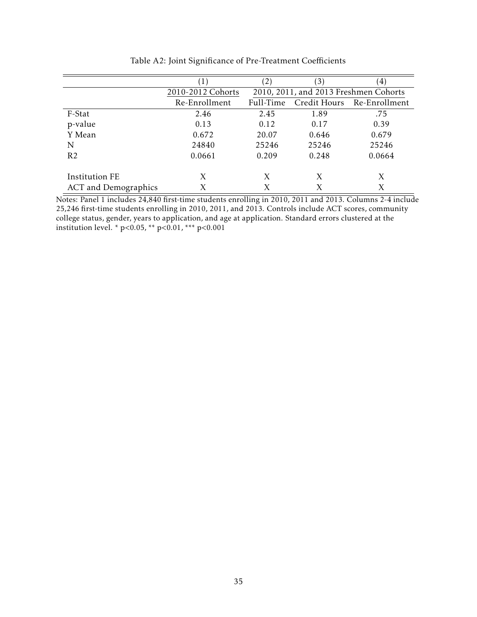<span id="page-34-0"></span>

|                             |                   |                                       | (3)   | $\vert 4 \rangle$          |
|-----------------------------|-------------------|---------------------------------------|-------|----------------------------|
|                             | 2010-2012 Cohorts | 2010, 2011, and 2013 Freshmen Cohorts |       |                            |
|                             | Re-Enrollment     | Full-Time                             |       | Credit Hours Re-Enrollment |
| F-Stat                      | 2.46              | 2.45                                  | 1.89  | .75                        |
| p-value                     | 0.13              | 0.12                                  | 0.17  | 0.39                       |
| Y Mean                      | 0.672             | 20.07                                 | 0.646 | 0.679                      |
| N                           | 24840             | 25246                                 | 25246 | 25246                      |
| R <sub>2</sub>              | 0.0661            | 0.209                                 | 0.248 | 0.0664                     |
|                             |                   |                                       |       |                            |
| <b>Institution FE</b>       | X                 | X                                     | X     | X                          |
| <b>ACT</b> and Demographics | Х                 | Х                                     | X     | X                          |

Table A2: Joint Significance of Pre-Treatment Coefficients

Notes: Panel 1 includes 24,840 first-time students enrolling in 2010, 2011 and 2013. Columns 2-4 include 25,246 first-time students enrolling in 2010, 2011, and 2013. Controls include ACT scores, community college status, gender, years to application, and age at application. Standard errors clustered at the institution level. \* p*<*0.05, \*\* p*<*0.01, \*\*\* p*<*0.001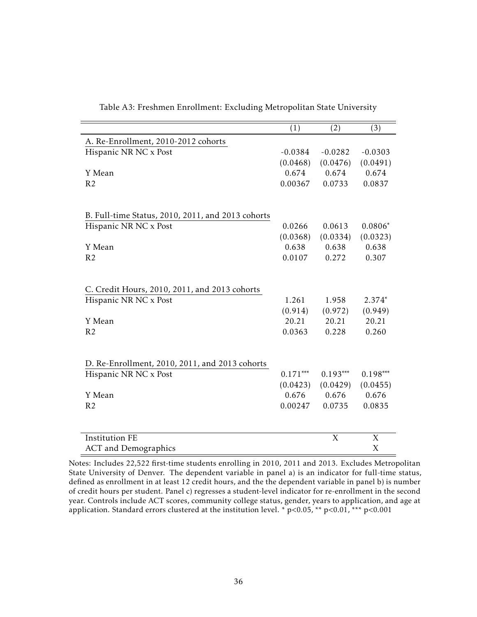<span id="page-35-0"></span>

|                                                   | (1)        | (2)        | (3)        |
|---------------------------------------------------|------------|------------|------------|
| A. Re-Enrollment, 2010-2012 cohorts               |            |            |            |
| Hispanic NR NC x Post                             | $-0.0384$  | $-0.0282$  | $-0.0303$  |
|                                                   | (0.0468)   | (0.0476)   | (0.0491)   |
| Y Mean                                            | 0.674      | 0.674      | 0.674      |
| R <sub>2</sub>                                    | 0.00367    | 0.0733     | 0.0837     |
|                                                   |            |            |            |
|                                                   |            |            |            |
| B. Full-time Status, 2010, 2011, and 2013 cohorts |            |            |            |
| Hispanic NR NC x Post                             | 0.0266     | 0.0613     | $0.0806*$  |
|                                                   | (0.0368)   | (0.0334)   | (0.0323)   |
| Y Mean                                            | 0.638      | 0.638      | 0.638      |
| R <sub>2</sub>                                    | 0.0107     | 0.272      | 0.307      |
|                                                   |            |            |            |
|                                                   |            |            |            |
| C. Credit Hours, 2010, 2011, and 2013 cohorts     |            |            |            |
| Hispanic NR NC x Post                             | 1.261      | 1.958      | $2.374*$   |
|                                                   | (0.914)    | (0.972)    | (0.949)    |
| Y Mean                                            | 20.21      | 20.21      | 20.21      |
| R <sub>2</sub>                                    | 0.0363     | 0.228      | 0.260      |
|                                                   |            |            |            |
|                                                   |            |            |            |
| D. Re-Enrollment, 2010, 2011, and 2013 cohorts    |            |            |            |
| Hispanic NR NC x Post                             | $0.171***$ | $0.193***$ | $0.198***$ |
|                                                   | (0.0423)   | (0.0429)   | (0.0455)   |
| Y Mean                                            | 0.676      | 0.676      | 0.676      |
| R <sub>2</sub>                                    | 0.00247    | 0.0735     | 0.0835     |
|                                                   |            |            |            |
| <b>Institution FE</b>                             |            | X          | X          |
| <b>ACT</b> and Demographics                       |            |            | X          |
|                                                   |            |            |            |

Table A3: Freshmen Enrollment: Excluding Metropolitan State University

Notes: Includes 22,522 first-time students enrolling in 2010, 2011 and 2013. Excludes Metropolitan State University of Denver. The dependent variable in panel a) is an indicator for full-time status, defined as enrollment in at least 12 credit hours, and the the dependent variable in panel b) is number of credit hours per student. Panel c) regresses a student-level indicator for re-enrollment in the second year. Controls include ACT scores, community college status, gender, years to application, and age at application. Standard errors clustered at the institution level. \* p*<*0.05, \*\* p*<*0.01, \*\*\* p*<*0.001